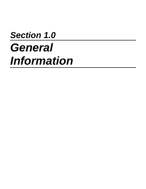# *Section 1.0 General Information*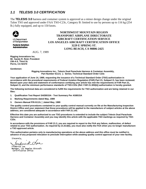#### *1.1 TELESIS 3.0 CERTIFICATION*

The **TELESIS 3.0** harness and container system is approved as a minor design change under the original Talon TSO and approved under FAA TSO-C23c, Category B: limited to use by persons up to 116 kg (254 lb.) fully equipped, and up to 150 knots.



U.S. Department of Transportation

**Federal Aviation Administration** 

AUG. 7, 1989

**Rigging Innovations Inc. Mr. Sandy R. Reid, President 236-A E. Third St. Perris, CA 92370** 

**Gentlemen:** 

**Rigging Innovations Inc., Telesis Dual Parachute Harness & Container Assembly, Part Number 6113-( ); Series; Technical Standard Order C23c** 

**Your application of June 14, 1989, requesting the issuance of a Technical Standard Order (TSO) authorization in accordance with the procedural requirements of Federal Aviation Regulation (FAR) Part 21, Subpart O, has been reviewed. Based upon your data and statement of conformance certifying your article has met the requirements of FAR Part 21, Subpart O, and the minimum performance standards of TSO-C23c (Ref. FAR 21.305(b)) authorization is hereby granted.** 

**The following technical data are considered to fulfill the requirements for TSO authorization and are being retained in our files:** 

- **1. Qualification Test Report SAE8015A Test Summary Per AS8015A**
- **2. Marking Requirements dated May, 1989**
- **3. Owners Manual P/N 6113-( ) dated May, 1989**

**The quality control procedures contained in your quality control manual currently on file at the Manufacturing Inspection District Office and your statement that those procedures will be applied to the manufacture of subject articles at the above address, are considered adequate in accordance with FAR 21.143.** 

**Effective this date you are authorized to use TSO procedures is extended to include the subject Telesis Dual Parachute Harness and Container Assembly and you may identify this article with the applicable TSO markings as required by TSO-C23c.** 

**In accordance with the provisions of FAR 21.3, you are required to report to the FAA any failure, malfunction, of defect related to your TSO authorization. As required by 21.613(b), you must also notify the FAA when you no longer manufacture a TSO approved article.** 

**This authorization pertains only to manufacturing operations at the above address and this office must be notified in advance of any proposed relocation to preclude interruption while awaiting quality control approval of your new facility.** 

Sincerely. rederick

Frederick Lee Manager, Los Angeles Aircraft Certification Office

#### **NORTHWEST MOUNTAIN REGION TRANSPORT AIRPLANE DIRECTORATE AIRCRAFT CERTIFICATION SERVICE LOS ANGELES AIRCRAFT CERTIFICATION OFFICE 3229 E SPRING ST. LONG BEACH, CA 90806-2425**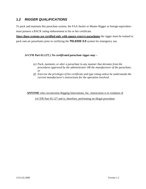## *1.2 RIGGER QUALIFICATIONS*

To pack and maintain this parachute system, the FAA Senior or Master Rigger or foreign equivalent must possess a BACK rating endorsement to his or her certificate.

**Since these systems are certified only with square reserve parachutes** the rigger must be trained to pack ram-air parachutes prior to certifying the **TELESIS 3.0** system for emergency use.

#### *14 CFR Part 65.127( ) No certificated parachute rigger may –*

- *(e) Pack, maintain, or alter a parachute in any manner that deviates from the procedures approved by the administrator OR the manufacturer of the parachute; or*
- *(f) Exercise the privileges of his certificate and type rating unless he understands the current manufacturer's instructions for the operation involved.*

**ANYONE** who circumvents Rigging Innovations, Inc. instructions is in violation of

14 CFR Part 65.127 and is, therefore, performing an illegal procedure.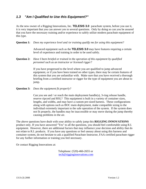## *1.3 "Am I Qualified to Use this Equipment?"*

As the new owner of a Rigging Innovations, Inc. **TELESIS 3.0** parachute system, before you use it, it is very important that you can answer yes to several questions. Only by doing so can you be assured that you have the necessary training and/or experience to safely utilize modern parachute equipment of this type.

**Question 1:** *Does my experience level and /or training qualify me for using this equipment?*

Advanced equipment such as the **TELESIS 3.0** may have features requiring a certain level of experience and training in order to be used safely.

**Question 2:** *Have I been briefed or trained in the operation of this equipment by qualified personnel such as an instructor or licensed rigger?* 

> If you have progressed to the level where you are qualified to jump advanced equipment, or if you have been trained on other types, there may be certain features of this system that you are unfamiliar with. Make sure that you have received a thorough briefing from a certified instructor or rigger for the type of equipment you are about to jump.

**Question 3:** *Does the equipment fit properly?*

Can you see and / or reach the main deployment handle(s), 3-ring release handle, reserve ripcord and RSL? This equipment is built in a variety of container sizes, lengths, and widths, and may have a custom pre-sized harness. These configurations along with options such as BOC main deployment, make compatible sizing to the individual extremely important to the safe operation of the system. If the system does not fit properly, the handles may be inaccessible or may move during the jump thereby causing problems in the air.

The above questions have dealt with your ability to safely jump this **RIGGING INNOVATIONS** product only. If you have answered "Yes" to all the questions, you should feel comfortable using R.I. equipment. However, there are additional factors that may influence your decision and ability that do not relate to R.I. products. If you have any questions or feel uneasy about using this harness and container system, do not hesitate to ask a qualified Parachute Instructor, FAA certified parachute rigger for any further information or training you feel necessary.

Or contact Rigging Innovations at:

Telephone: (520)-466-2655 or [tech@rigginginnovations.com](mailto:tech@rigginginnovations.com)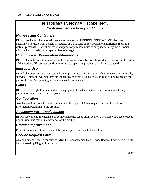## **RIGGING INNOVATIONS INC.**  *Customer Service Policy and Limits*

#### *Harness and Containers*

RI will provide no charge repair service for repairs that RIGGING INNOVATIONS INC. has determined to result from defects in material or workmanship for a period of **six months from the date of purchase**. Date of purchase and proof of purchase must be supplied to RI by the customer with the item in order to be repaired free of charge.

#### *Unauthorized Modifications/Alterations*

RI will charge for repair service when the damage is caused by unauthorized modification or alteration of the product. RI reserves the right to refuse to repair any product so modified or altered.

#### *Improper Use*

RI will charge for repairs that results from improper use or from abuse such as exposure to chemicals, saltwater, improper washing, improper packing, excessive exposure to sunlight, or negligence on the part of the user (i.e. jumping already damaged equipment).

## *Limits*

RI reserves the right to refuse service on equipment for which materials and / or manufacturing patterns and specifications no longer exist.

#### *Configuration*

Articles sent in for repair should be sent in with all parts. RI may request and require additional information pertaining to the product.

#### *Accessory Part - Replacement*

RI will recommend replacement of component parts based on inspection when safety is a factor due to normal wear and tear or maintenance of the product.

#### *Product Improvement*

Product improvements will be available as an option and cost to the customer.

#### *Service Request Form*

Any equipment returned for service, MUST be accompanied by a Service Request Form before it will be processed by Rigging Innovations.

2007